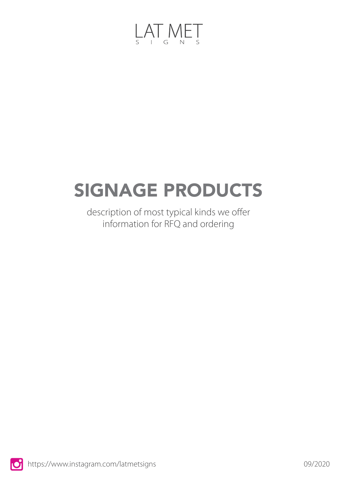

# SIGNAGE PRODUCTS

description of most typical kinds we offer information for RFQ and ordering

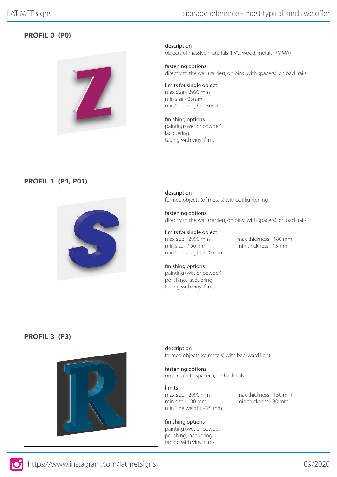# PROFIL 0 (P0)



description objects of massive materials (PVC, wood, metals, PMMA)

fastening options directly to the wall (carrier), on pins (with spacers), on back rails

limits for single object max size - 2990 mm min size - 25mm min 'line weight' - 5mm

#### finishing options painting (wet or powder)

lacquering taping with vinyl films

## PROFIL 1 (P1, P01)



description formed objects (of metals) without lightening

fastening options directly to the wall (carrier), on pins (with spacers), on back rails

limits for single object max size - 2990 mm min size - 100 mm min 'line weight' - 20 mm

max thickness - 180 mm min thickness - 15mm

finishing options painting (wet or powder) polishing, lacquering taping with vinyl films

#### PROFIL 3 (P3)



description formed objects (of metals) with backward light

fastening options on pins (with spacers), on back rails

limits

max size - 2990 mm min size - 100 mm min 'line weight' - 25 mm max thickness - 150 mm min thickness - 30 mm

#### finishing options

painting (wet or powder) polishing, lacquering taping with vinyl films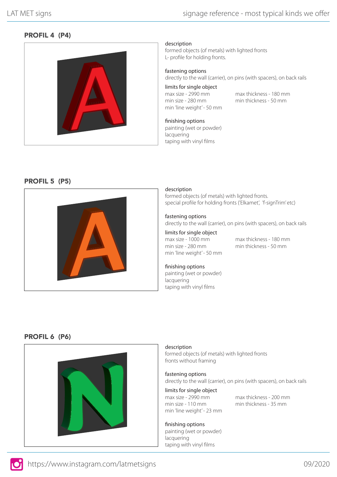# PROFIL 4 (P4)



description

formed objects (of metals) with lighted fronts L- profile for holding fronts.

#### fastening options

directly to the wall (carrier), on pins (with spacers), on back rails

limits for single object max size - 2990 mm min size - 280 mm min 'line weight' - 50 mm

max thickness - 180 mm min thickness - 50 mm

#### finishing options painting (wet or powder) lacquering taping with vinyl films

#### PROFIL 5 (P5)



#### description

formed objects (of metals) with lighted fronts. special profile for holding fronts ('Elkamet', 'f-signTrim' etc)

#### fastening options

directly to the wall (carrier), on pins (with spacers), on back rails

limits for single object max size - 1000 mm min size - 280 mm min 'line weight' - 50 mm

max thickness - 180 mm min thickness - 50 mm

#### finishing options painting (wet or powder)

lacquering taping with vinyl films

#### PROFIL 6 (P6)



# description

formed objects (of metals) with lighted fronts fronts without framing

# fastening options

directly to the wall (carrier), on pins (with spacers), on back rails

#### limits for single object max size - 2990 mm min size - 110 mm min 'line weight' - 23 mm

max thickness - 200 mm min thickness - 35 mm

#### finishing options painting (wet or powder) lacquering taping with vinyl films

https://www.instagram.com/latmetsigns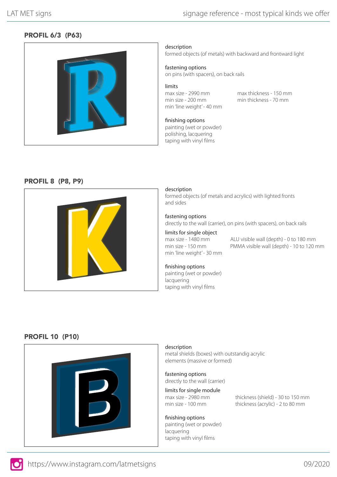# PROFIL 6/3 (P63)



description

formed objects (of metals) with backward and frontward light

fastening options

on pins (with spacers), on back rails

limits max size - 2990 mm min size - 200 mm min 'line weight' - 40 mm

max thickness - 150 mm min thickness - 70 mm

finishing options painting (wet or powder) polishing, lacquering taping with vinyl films

#### PROFIL 8 (P8, P9)



#### description

formed objects (of metals and acrylics) with lighted fronts and sides

#### fastening options

directly to the wall (carrier), on pins (with spacers), on back rails

#### limits for single object

max size - 1480 mm min size - 150 mm min 'line weight' - 30 mm ALU visible wall (depth) - 0 to 180 mm PMMA visible wall (depth) - 10 to 120 mm

#### finishing options

painting (wet or powder) lacquering taping with vinyl films

#### PROFIL 10 (P10)



#### description

metal shields (boxes) with outstandig acrylic elements (massive or formed)

fastening options directly to the wall (carrier)

limits for single module max size - 2980 mm min size - 100 mm

thickness (shield) - 30 to 150 mm thickness (acrylic) - 2 to 80 mm

#### finishing options painting (wet or powder) lacquering taping with vinyl films

https://www.instagram.com/latmetsigns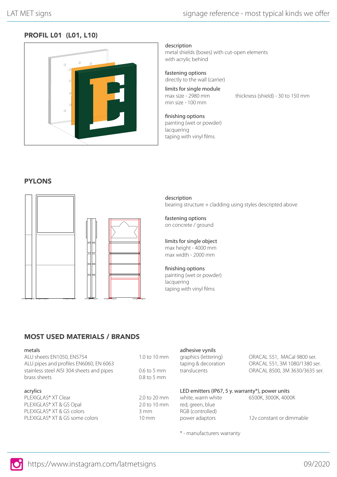# PROFIL L01 (L01, L10)



description

metal shields (boxes) with cut-open elements with acrylic behind

fastening options directly to the wall (carrier)

limits for single module max size - 2980 mm min size - 100 mm

thickness (shield) - 30 to 150 mm

finishing options painting (wet or powder) lacquering taping with vinyl films

## **PYLONS**



description bearing structure + cladding using styles descripted above

fastening options on concrete / ground

limits for single object max height - 4000 mm max width - 2000 mm

#### finishing options painting (wet or powder)

lacquering taping with vinyl films

adhesive vynils

# MOST USED MATERIALS / BRANDS

#### metals

| ALU sheets EN1050, EN5754<br>ALU pipes and profiles EN6060, EN 6063<br>stainless steel AISI 304 sheets and pipes<br>brass sheets | 1.0 to 10 mm<br>$0.6$ to 5 mm<br>0.8 to 5 mm | graphics (lettering)<br>taping & decoration<br>translucents | ORACAL 551, MACal 9800 ser.<br>ORACAL 551, 3M 1080/1380 ser.<br>ORACAL 8500, 3M 3630/3635 ser. |
|----------------------------------------------------------------------------------------------------------------------------------|----------------------------------------------|-------------------------------------------------------------|------------------------------------------------------------------------------------------------|
| acrylics                                                                                                                         |                                              | LED emitters (IP67, 5 y. warranty*), power units            |                                                                                                |
| PLEXIGLAS® XT Clear                                                                                                              | 2.0 to 20 mm                                 | white, warm white                                           | 6500K, 3000K, 4000K                                                                            |
| PLEXIGLAS® XT & GS Opal                                                                                                          | 2.0 to 10 mm                                 | red, green, blue                                            |                                                                                                |
| PLEXIGLAS® XT & GS colors                                                                                                        | 3 mm                                         | RGB (controlled)                                            |                                                                                                |
| PLEXIGLAS® XT & GS some colors                                                                                                   | $10 \text{ mm}$                              | power adaptors                                              | 12v constant or dimmable                                                                       |

\* - manufacturers warranty